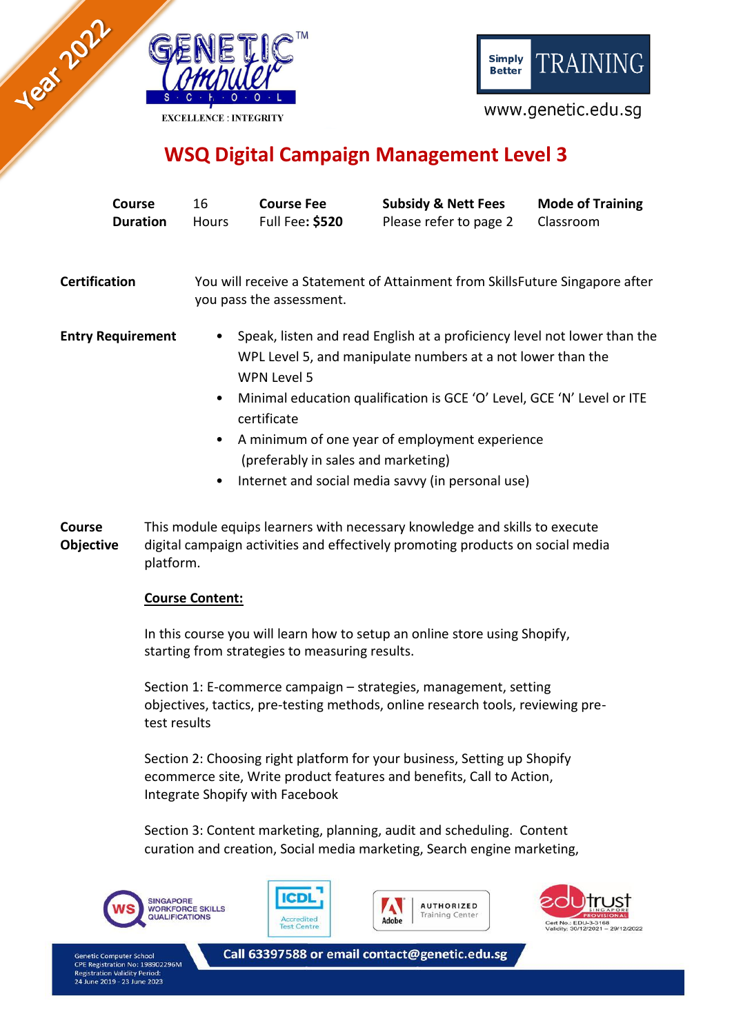

**TRAINING Simply Better** 

www.genetic.edu.sg

# **WSQ Digital Campaign Management Level 3**

| Course<br><b>Duration</b> | 16<br>Hours                                                                                                                                                                                                                                                | <b>Course Fee</b><br><b>Full Fee: \$520</b> | <b>Subsidy &amp; Nett Fees</b><br>Please refer to page 2 | <b>Mode of Training</b><br>Classroom |  |
|---------------------------|------------------------------------------------------------------------------------------------------------------------------------------------------------------------------------------------------------------------------------------------------------|---------------------------------------------|----------------------------------------------------------|--------------------------------------|--|
| <b>Certification</b>      | You will receive a Statement of Attainment from SkillsFuture Singapore after<br>you pass the assessment.                                                                                                                                                   |                                             |                                                          |                                      |  |
| <b>Entry Requirement</b>  | Speak, listen and read English at a proficiency level not lower than the<br>$\bullet$<br>WPL Level 5, and manipulate numbers at a not lower than the<br>WPN Level 5<br>Minimal education qualification is GCE 'O' Level, GCE 'N' Level or ITE<br>$\bullet$ |                                             |                                                          |                                      |  |
|                           | certificate<br>A minimum of one year of employment experience<br>$\bullet$<br>(preferably in sales and marketing)                                                                                                                                          |                                             |                                                          |                                      |  |
|                           | ٠                                                                                                                                                                                                                                                          |                                             | Internet and social media savvy (in personal use)        |                                      |  |

**Course Objective** This module equips learners with necessary knowledge and skills to execute digital campaign activities and effectively promoting products on social media platform.

### **Course Content:**

In this course you will learn how to setup an online store using Shopify, starting from strategies to measuring results.

Section 1: E-commerce campaign – strategies, management, setting objectives, tactics, pre-testing methods, online research tools, reviewing pretest results

Section 2: Choosing right platform for your business, Setting up Shopify ecommerce site, Write product features and benefits, Call to Action, Integrate Shopify with Facebook

Section 3: Content marketing, planning, audit and scheduling. Content curation and creation, Social media marketing, Search engine marketing,





**CPE Registration No: 198902296M**<br>Registration Validity Period: une 2019 - 23 June 2023